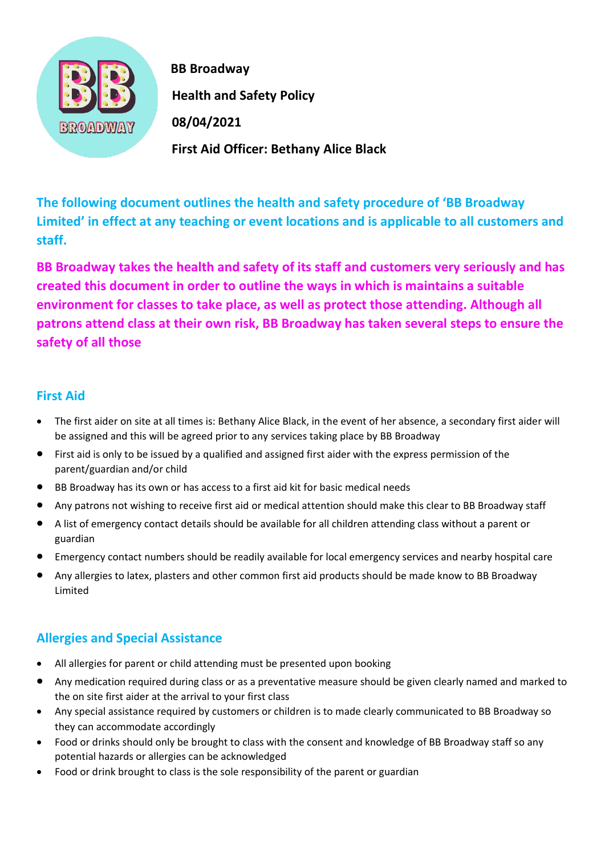

 **BB Broadway Health and Safety Policy First Aid Officer: Bethany Alice Black**

**The following document outlines the health and safety procedure of 'BB Broadway Limited' in effect at any teaching or event locations and is applicable to all customers and staff.** 

**BB Broadway takes the health and safety of its staff and customers very seriously and has created this document in order to outline the ways in which is maintains a suitable environment for classes to take place, as well as protect those attending. Although all patrons attend class at their own risk, BB Broadway has taken several steps to ensure the safety of all those** 

#### **First Aid**

- The first aider on site at all times is: Bethany Alice Black, in the event of her absence, a secondary first aider will be assigned and this will be agreed prior to any services taking place by BB Broadway
- First aid is only to be issued by a qualified and assigned first aider with the express permission of the parent/guardian and/or child
- BB Broadway has its own or has access to a first aid kit for basic medical needs
- Any patrons not wishing to receive first aid or medical attention should make this clear to BB Broadway staff
- A list of emergency contact details should be available for all children attending class without a parent or guardian
- Emergency contact numbers should be readily available for local emergency services and nearby hospital care
- Any allergies to latex, plasters and other common first aid products should be made know to BB Broadway Limited

## **Allergies and Special Assistance**

- All allergies for parent or child attending must be presented upon booking
- Any medication required during class or as a preventative measure should be given clearly named and marked to the on site first aider at the arrival to your first class
- Any special assistance required by customers or children is to made clearly communicated to BB Broadway so they can accommodate accordingly
- Food or drinks should only be brought to class with the consent and knowledge of BB Broadway staff so any potential hazards or allergies can be acknowledged
- Food or drink brought to class is the sole responsibility of the parent or guardian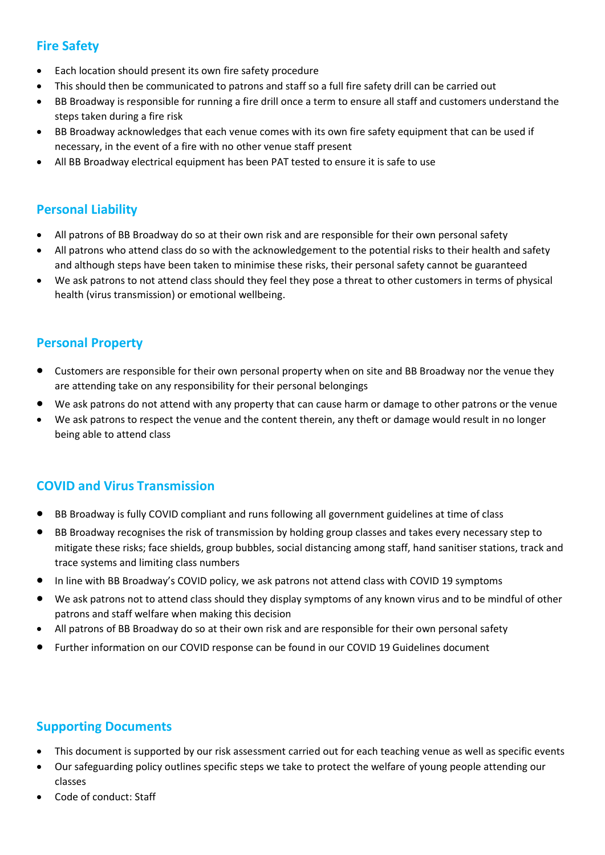# **Fire Safety**

- Each location should present its own fire safety procedure
- This should then be communicated to patrons and staff so a full fire safety drill can be carried out
- BB Broadway is responsible for running a fire drill once a term to ensure all staff and customers understand the steps taken during a fire risk
- BB Broadway acknowledges that each venue comes with its own fire safety equipment that can be used if necessary, in the event of a fire with no other venue staff present
- All BB Broadway electrical equipment has been PAT tested to ensure it is safe to use

## **Personal Liability**

- All patrons of BB Broadway do so at their own risk and are responsible for their own personal safety
- All patrons who attend class do so with the acknowledgement to the potential risks to their health and safety and although steps have been taken to minimise these risks, their personal safety cannot be guaranteed
- We ask patrons to not attend class should they feel they pose a threat to other customers in terms of physical health (virus transmission) or emotional wellbeing.

# **Personal Property**

- Customers are responsible for their own personal property when on site and BB Broadway nor the venue they are attending take on any responsibility for their personal belongings
- We ask patrons do not attend with any property that can cause harm or damage to other patrons or the venue
- We ask patrons to respect the venue and the content therein, any theft or damage would result in no longer being able to attend class

## **COVID and Virus Transmission**

- BB Broadway is fully COVID compliant and runs following all government guidelines at time of class
- BB Broadway recognises the risk of transmission by holding group classes and takes every necessary step to mitigate these risks; face shields, group bubbles, social distancing among staff, hand sanitiser stations, track and trace systems and limiting class numbers
- In line with BB Broadway's COVID policy, we ask patrons not attend class with COVID 19 symptoms
- We ask patrons not to attend class should they display symptoms of any known virus and to be mindful of other patrons and staff welfare when making this decision
- All patrons of BB Broadway do so at their own risk and are responsible for their own personal safety
- Further information on our COVID response can be found in our COVID 19 Guidelines document

## **Supporting Documents**

- This document is supported by our risk assessment carried out for each teaching venue as well as specific events
- Our safeguarding policy outlines specific steps we take to protect the welfare of young people attending our classes
- Code of conduct: Staff